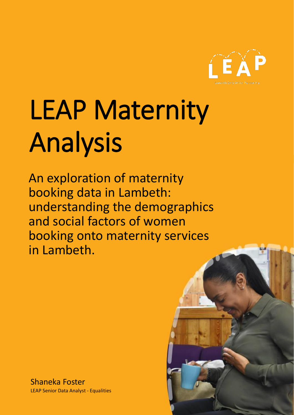

# LEAP Maternity Analysis

An exploration of maternity booking data in Lambeth: understanding the demographics and social factors of women booking onto maternity services in Lambeth.

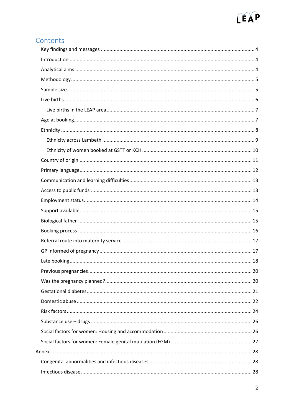

# Contents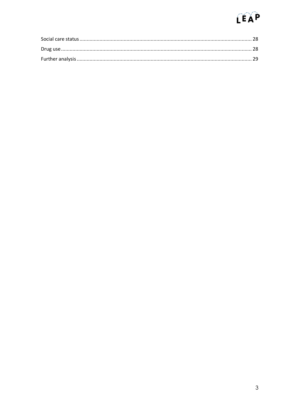# $C^2$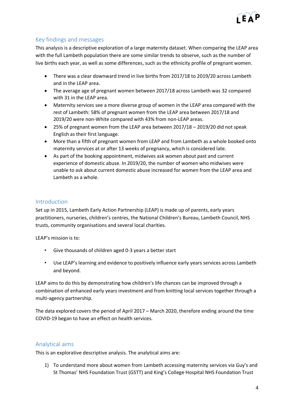

# <span id="page-3-0"></span>Key findings and messages

This analysis is a descriptive exploration of a large maternity dataset. When comparing the LEAP area with the full Lambeth population there are some similar trends to observe, such as the number of live births each year, as well as some differences, such as the ethnicity profile of pregnant women.

- There was a clear downward trend in live births from 2017/18 to 2019/20 across Lambeth and in the LEAP area.
- The average age of pregnant women between 2017/18 across Lambeth was 32 compared with 31 in the LEAP area.
- Maternity services see a more diverse group of women in the LEAP area compared with the rest of Lambeth: 58% of pregnant women from the LEAP area between 2017/18 and 2019/20 were non-White compared with 43% from non-LEAP areas.
- 25% of pregnant women from the LEAP area between 2017/18 2019/20 did not speak English as their first language.
- More than a fifth of pregnant women from LEAP and from Lambeth as a whole booked onto maternity services at or after 13 weeks of pregnancy, which is considered late.
- As part of the booking appointment, midwives ask women about past and current experience of domestic abuse. In 2019/20, the number of women who midwives were unable to ask about current domestic abuse increased for women from the LEAP area and Lambeth as a whole.

#### <span id="page-3-1"></span>Introduction

Set up in 2015, Lambeth Early Action Partnership (LEAP) is made up of parents, early years practitioners, nurseries, children's centres, the National Children's Bureau, Lambeth Council, NHS trusts, community organisations and several local charities.

LEAP's mission is to:

- Give thousands of children aged 0-3 years a better start
- Use LEAP's learning and evidence to positively influence early years services across Lambeth and beyond.

LEAP aims to do this by demonstrating how children's life chances can be improved through a combination of enhanced early years investment and from knitting local services together through a multi-agency partnership.

The data explored covers the period of April 2017 – March 2020, therefore ending around the time COVID-19 began to have an effect on health services.

#### <span id="page-3-2"></span>Analytical aims

This is an explorative descriptive analysis. The analytical aims are:

1) To understand more about women from Lambeth accessing maternity services via Guy's and St Thomas' NHS Foundation Trust (GSTT) and King's College Hospital NHS Foundation Trust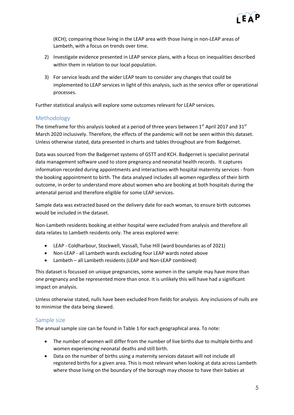

(KCH); comparing those living in the LEAP area with those living in non-LEAP areas of Lambeth, with a focus on trends over time.

- 2) Investigate evidence presented in LEAP service plans, with a focus on inequalities described within them in relation to our local population.
- 3) For service leads and the wider LEAP team to consider any changes that could be implemented to LEAP services in light of this analysis, such as the service offer or operational processes.

Further statistical analysis will explore some outcomes relevant for LEAP services.

#### <span id="page-4-0"></span>Methodology

The timeframe for this analysis looked at a period of three years between 1st April 2017 and 31st March 2020 inclusively. Therefore, the effects of the pandemic will not be seen within this dataset. Unless otherwise stated, data presented in charts and tables throughout are from Badgernet.

Data was sourced from the Badgernet systems of GSTT and KCH. Badgernet is specialist perinatal data management software used to store pregnancy and neonatal health records. It captures information recorded during appointments and interactions with hospital maternity services - from the booking appointment to birth. The data analysed includes all women regardless of their birth outcome, in order to understand more about women who are booking at both hospitals during the antenatal period and therefore eligible for some LEAP services.

Sample data was extracted based on the delivery date for each woman, to ensure birth outcomes would be included in the dataset.

Non-Lambeth residents booking at either hospital were excluded from analysis and therefore all data relates to Lambeth residents only. The areas explored were:

- LEAP Coldharbour, Stockwell, Vassall, Tulse Hill (ward boundaries as of 2021)
- Non-LEAP all Lambeth wards excluding four LEAP wards noted above
- Lambeth all Lambeth residents (LEAP and Non-LEAP combined)

This dataset is focussed on unique pregnancies, some women in the sample may have more than one pregnancy and be represented more than once. It is unlikely this will have had a significant impact on analysis.

Unless otherwise stated, nulls have been excluded from fields for analysis. Any inclusions of nulls are to minimise the data being skewed.

#### <span id="page-4-1"></span>Sample size

The annual sample size can be found in Table 1 for each geographical area. To note:

- The number of women will differ from the number of live births due to multiple births and women experiencing neonatal deaths and still birth.
- Data on the number of births using a maternity services dataset will not include all registered births for a given area. This is most relevant when looking at data across Lambeth where those living on the boundary of the borough may choose to have their babies at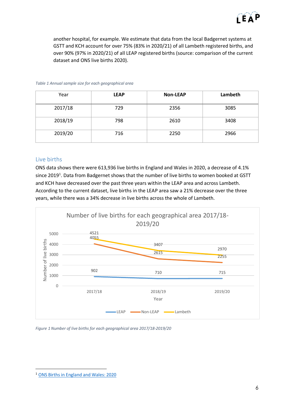

another hospital, for example. We estimate that data from the local Badgernet systems at GSTT and KCH account for over 75% (83% in 2020/21) of all Lambeth registered births, and over 90% (97% in 2020/21) of all LEAP registered births (source: comparison of the current dataset and ONS live births 2020).

| Year    | <b>LEAP</b> | <b>Non-LEAP</b> | Lambeth |
|---------|-------------|-----------------|---------|
| 2017/18 | 729         | 2356            | 3085    |
| 2018/19 | 798         | 2610            | 3408    |
| 2019/20 | 716         | 2250            | 2966    |

#### *Table 1 Annual sample size for each geographical area*

#### <span id="page-5-0"></span>Live births

ONS data shows there were 613,936 live births in England and Wales in 2020, a decrease of 4.1% since 2019<sup>1</sup>. Data from Badgernet shows that the number of live births to women booked at GSTT and KCH have decreased over the past three years within the LEAP area and across Lambeth. According to the current dataset, live births in the LEAP area saw a 21% decrease over the three years, while there was a 34% decrease in live births across the whole of Lambeth.



*Figure 1 Number of live births for each geographical area 2017/18-2019/20*

1

<sup>1</sup> [ONS Births in England and Wales: 2020](https://www.ons.gov.uk/peoplepopulationandcommunity/birthsdeathsandmarriages/livebirths/bulletins/birthsummarytablesenglandandwales/2019)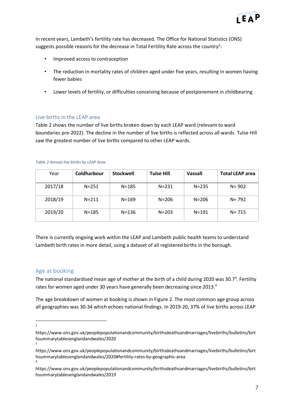

In recent years, Lambeth's fertility rate has decreased. The Office for National Statistics (ONS) suggests possible reasons for the decrease in Total Fertility Rate across the country<sup>2</sup>:

- Improved access to contraception
- The reduction in mortality rates of children aged under five years, resulting in women having fewer babies
- Lower levels of fertility, or difficulties conceiving because of postponement in childbearing

#### <span id="page-6-0"></span>Live births in the LEAP area

Table 2 shows the number of live births broken down by each LEAP ward (relevant to ward boundaries pre-2022). The decline in the number of live births is reflected across all wards. Tulse Hill saw the greatest number of live births compared to other LEAP wards.

|  | Table 2 Annual live births by LEAP Area |  |  |  |
|--|-----------------------------------------|--|--|--|
|  |                                         |  |  |  |

| Year    | Coldharbour | <b>Stockwell</b> | <b>Tulse Hill</b> | <b>Vassall</b> | <b>Total LEAP area</b> |
|---------|-------------|------------------|-------------------|----------------|------------------------|
| 2017/18 | $N = 251$   | $N = 185$        | $N = 231$         | $N = 235$      | $N = 902$              |
| 2018/19 | $N = 211$   | $N = 169$        | $N = 206$         | $N = 206$      | $N = 792$              |
| 2019/20 | $N = 185$   | $N = 136$        | $N = 203$         | $N = 191$      | $N = 715$              |

There is currently ongoing work within the LEAP and Lambeth public health teams to understand Lambeth birth rates in more detail, using a dataset of all registered births in the borough.

#### <span id="page-6-1"></span>Age at booking

The national standardised mean age of mother at the birth of a child during 2020 was 30.7<sup>3</sup>. Fertility rates for women aged under 30 years have generally been decreasing since 2013.<sup>4</sup>

The age breakdown of women at booking is shown in Figure 2. The most common age group across all geographies was 30-34 which echoes national findings. In 2019-20, 37% of live births across LEAP

 $\frac{1}{2}$ 

3

https://www.ons.gov.uk/peoplepopulationandcommunity/birthsdeathsandmarriages/livebirths/bulletins/birt hsummarytablesenglandandwales/2020

https://www.ons.gov.uk/peoplepopulationandcommunity/birthsdeathsandmarriages/livebirths/bulletins/birt hsummarytablesenglandandwales/2020#fertility-rates-by-geographic-area 4

https://www.ons.gov.uk/peoplepopulationandcommunity/birthsdeathsandmarriages/livebirths/bulletins/birt hsummarytablesenglandandwales/2019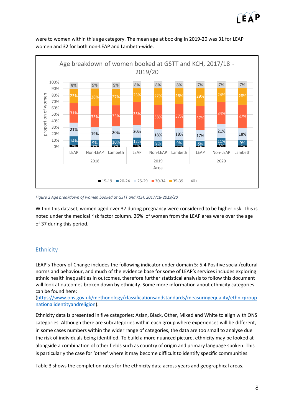



were to women within this age category. The mean age at booking in 2019-20 was 31 for LEAP women and 32 for both non-LEAP and Lambeth-wide.

*Figure 2 Age breakdown of women booked at GSTT and KCH, 2017/18-2019/20*

Within this dataset, women aged over 37 during pregnancy were considered to be higher risk. This is noted under the medical risk factor column. 26% of women from the LEAP area were over the age of 37 during this period.

#### <span id="page-7-0"></span>**Ethnicity**

LEAP's Theory of Change includes the following indicator under domain 5: 5.4 Positive social/cultural norms and behaviour, and much of the evidence base for some of LEAP's services includes exploring ethnic health inequalities in outcomes, therefore further statistical analysis to follow this document will look at outcomes broken down by ethnicity. Some more information about ethnicity categories can be found here:

[\(https://www.ons.gov.uk/methodology/classificationsandstandards/measuringequality/ethnicgroup](https://www.ons.gov.uk/methodology/classificationsandstandards/measuringequality/ethnicgroupnationalidentityandreligion) [nationalidentityandreligion\)](https://www.ons.gov.uk/methodology/classificationsandstandards/measuringequality/ethnicgroupnationalidentityandreligion).

Ethnicity data is presented in five categories: Asian, Black, Other, Mixed and White to align with ONS categories. Although there are subcategories within each group where experiences will be different, in some cases numbers within the wider range of categories, the data are too small to analyse due the risk of individuals being identified. To build a more nuanced picture, ethnicity may be looked at alongside a combination of other fields such as country of origin and primary language spoken. This is particularly the case for 'other' where it may become difficult to identify specific communities.

Table 3 shows the completion rates for the ethnicity data across years and geographical areas.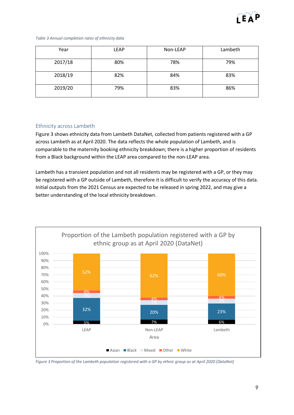

#### *Table 3 Annual completion rates of ethnicity data*

| Year    | <b>LEAP</b> | Non-LEAP | Lambeth |
|---------|-------------|----------|---------|
| 2017/18 | 80%         | 78%      | 79%     |
| 2018/19 | 82%         | 84%      | 83%     |
| 2019/20 | 79%         | 83%      | 86%     |

#### <span id="page-8-0"></span>Ethnicity across Lambeth

Figure 3 shows ethnicity data from Lambeth DataNet, collected from patients registered with a GP across Lambeth as at April 2020. The data reflects the whole population of Lambeth, and is comparable to the maternity booking ethnicity breakdown; there is a higher proportion of residents from a Black background within the LEAP area compared to the non-LEAP area.

Lambeth has a transient population and not all residents may be registered with a GP, or they may be registered with a GP outside of Lambeth, therefore it is difficult to verify the accuracy of this data. Initial outputs from the 2021 Census are expected to be released in spring 2022, and may give a better understanding of the local ethnicity breakdown.



*Figure 3 Proportion of the Lambeth population registered with a GP by ethnic group as at April 2020 (DataNet)*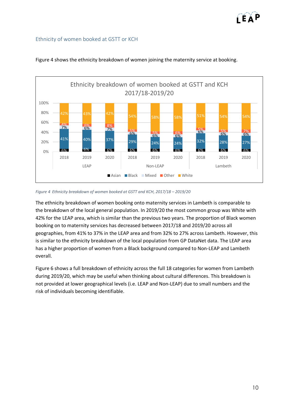#### <span id="page-9-0"></span>Ethnicity of women booked at GSTT or KCH



#### Figure 4 shows the ethnicity breakdown of women joining the maternity service at booking.

#### *Figure 4 Ethnicity breakdown of women booked at GSTT and KCH, 2017/18 - 2019/20*

The ethnicity breakdown of women booking onto maternity services in Lambeth is comparable to the breakdown of the local general population. In 2019/20 the most common group was White with 42% for the LEAP area, which is similar than the previous two years. The proportion of Black women booking on to maternity services has decreased between 2017/18 and 2019/20 across all geographies, from 41% to 37% in the LEAP area and from 32% to 27% across Lambeth. However, this is similar to the ethnicity breakdown of the local population from GP DataNet data. The LEAP area has a higher proportion of women from a Black background compared to Non-LEAP and Lambeth overall.

Figure 6 shows a full breakdown of ethnicity across the full 18 categories for women from Lambeth during 2019/20, which may be useful when thinking about cultural differences. This breakdown is not provided at lower geographical levels (i.e. LEAP and Non-LEAP) due to small numbers and the risk of individuals becoming identifiable.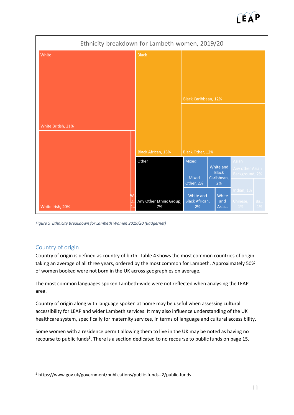



*Figure 5 Ethnicity Breakdown for Lambeth Women 2019/20 (Badgernet)*

# <span id="page-10-0"></span>Country of origin

1

Country of origin is defined as country of birth. Table 4 shows the most common countries of origin taking an average of all three years, ordered by the most common for Lambeth. Approximately 50% of women booked were not born in the UK across geographies on average.

The most common languages spoken Lambeth-wide were not reflected when analysing the LEAP area.

Country of origin along with language spoken at home may be useful when assessing cultural accessibility for LEAP and wider Lambeth services. It may also influence understanding of the UK healthcare system, specifically for maternity services, in terms of language and cultural accessibility.

Some women with a residence permit allowing them to live in the UK may be noted as having no recourse to public funds<sup>5</sup>. There is a section dedicated to no recourse to public funds on page 15.

<sup>5</sup> https://www.gov.uk/government/publications/public-funds--2/public-funds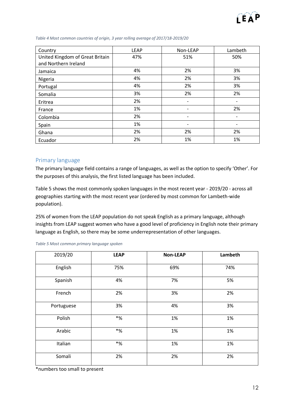

| Country                         | <b>LEAP</b> | Non-LEAP                 | Lambeth |
|---------------------------------|-------------|--------------------------|---------|
| United Kingdom of Great Britain | 47%         | 51%                      | 50%     |
| and Northern Ireland            |             |                          |         |
| Jamaica                         | 4%          | 2%                       | 3%      |
| Nigeria                         | 4%          | 2%                       | 3%      |
| Portugal                        | 4%          | 2%                       | 3%      |
| Somalia                         | 3%          | 2%                       | 2%      |
| Eritrea                         | 2%          |                          |         |
| France                          | 1%          |                          | 2%      |
| Colombia                        | 2%          |                          |         |
| Spain                           | 1%          | $\overline{\phantom{a}}$ |         |
| Ghana                           | 2%          | 2%                       | 2%      |
| Ecuador                         | 2%          | 1%                       | 1%      |

#### *Table 4 Most common countries of origin, 3 year rolling average of 2017/18-2019/20*

#### <span id="page-11-0"></span>Primary language

The primary language field contains a range of languages, as well as the option to specify 'Other'. For the purposes of this analysis, the first listed language has been included.

Table 5 shows the most commonly spoken languages in the most recent year - 2019/20 - across all geographies starting with the most recent year (ordered by most common for Lambeth-wide population).

25% of women from the LEAP population do not speak English as a primary language, although insights from LEAP suggest women who have a good level of proficiency in English note their primary language as English, so there may be some underrepresentation of other languages.

| 2019/20    | <b>LEAP</b> | <b>Non-LEAP</b> | Lambeth |
|------------|-------------|-----------------|---------|
| English    | 75%         | 69%             | 74%     |
| Spanish    | 4%          | 7%              | 5%      |
| French     | 2%          | 3%              | 2%      |
| Portuguese | 3%          | 4%              | 3%      |
| Polish     | $*$ %       | 1%              | 1%      |
| Arabic     | $*$ %       | 1%              | 1%      |
| Italian    | $*$ %       | 1%              | 1%      |
| Somali     | 2%          | 2%              | 2%      |

*Table 5 Most common primary language spoken*

\*numbers too small to present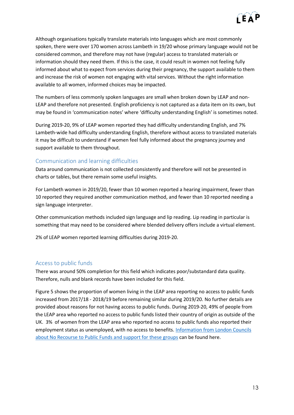

Although organisations typically translate materials into languages which are most commonly spoken, there were over 170 women across Lambeth in 19/20 whose primary language would not be considered common, and therefore may not have (regular) access to translated materials or information should they need them. If this is the case, it could result in women not feeling fully informed about what to expect from services during their pregnancy, the support available to them and increase the risk of women not engaging with vital services. Without the right information available to all women, informed choices may be impacted.

The numbers of less commonly spoken languages are small when broken down by LEAP and non-LEAP and therefore not presented. English proficiency is not captured as a data item on its own, but may be found in 'communication notes' where 'difficulty understanding English' is sometimes noted.

During 2019-20, 9% of LEAP women reported they had difficulty understanding English, and 7% Lambeth-wide had difficulty understanding English, therefore without access to translated materials it may be difficult to understand if women feel fully informed about the pregnancy journey and support available to them throughout.

# <span id="page-12-0"></span>Communication and learning difficulties

Data around communication is not collected consistently and therefore will not be presented in charts or tables, but there remain some useful insights.

For Lambeth women in 2019/20, fewer than 10 women reported a hearing impairment, fewer than 10 reported they required another communication method, and fewer than 10 reported needing a sign language interpreter.

Other communication methods included sign language and lip reading. Lip reading in particular is something that may need to be considered where blended delivery offers include a virtual element.

2% of LEAP women reported learning difficulties during 2019-20.

#### <span id="page-12-1"></span>Access to public funds

There was around 50% completion for this field which indicates poor/substandard data quality. Therefore, nulls and blank records have been included for this field.

Figure 5 shows the proportion of women living in the LEAP area reporting no access to public funds increased from 2017/18 - 2018/19 before remaining similar during 2019/20. No further details are provided about reasons for not having access to public funds. During 2019-20, 49% of people from the LEAP area who reported no access to public funds listed their country of origin as outside of the UK. 3% of women from the LEAP area who reported no access to public funds also reported their employment status as unemployed, with no access to benefits. [Information from London Councils](https://www.londoncouncils.gov.uk/our-key-themes/asylum-migration-and-refugees/no-recourse-public-funds)  [about No Recourse to Public Funds](https://www.londoncouncils.gov.uk/our-key-themes/asylum-migration-and-refugees/no-recourse-public-funds) and support for these groups can be found here.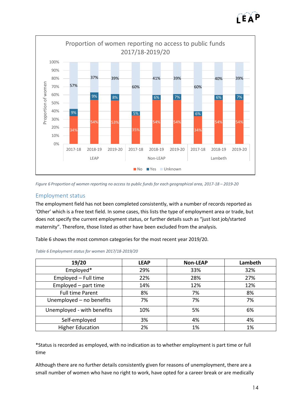



*Figure 6 Proportion of women reporting no access to public funds for each geographical area, 2017-18 – 2019-20*

#### <span id="page-13-0"></span>Employment status

The employment field has not been completed consistently, with a number of records reported as 'Other' which is a free text field. In some cases, this lists the type of employment area or trade, but does not specify the current employment status, or further details such as "just lost job/started maternity". Therefore, those listed as other have been excluded from the analysis.

Table 6 shows the most common categories for the most recent year 2019/20.

| 19/20                      | <b>LEAP</b> | <b>Non-LEAP</b> | Lambeth |
|----------------------------|-------------|-----------------|---------|
| Employed*                  | 29%         | 33%             | 32%     |
| Employed - Full time       | 22%         | 28%             | 27%     |
| Employed - part time       | 14%         | 12%             | 12%     |
| <b>Full time Parent</b>    | 8%          | 7%              | 8%      |
| Unemployed - no benefits   | 7%          | 7%              | 7%      |
| Unemployed - with benefits | 10%         | 5%              | 6%      |
| Self-employed              | 3%          | 4%              | 4%      |
| <b>Higher Education</b>    | 2%          | 1%              | 1%      |

*Table 6 Employment status for women 2017/18-2019/20*

\*Status is recorded as employed, with no indication as to whether employment is part time or full time

Although there are no further details consistently given for reasons of unemployment, there are a small number of women who have no right to work, have opted for a career break or are medically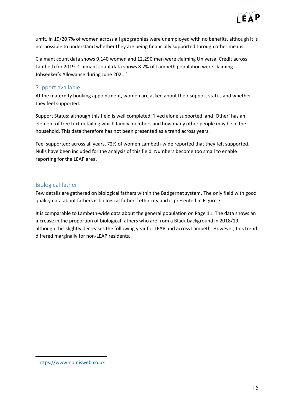

unfit. In 19/20 7% of women across all geographies were unemployed with no benefits, although it is not possible to understand whether they are being financially supported through other means.

Claimant count data shows 9,140 women and 12,290 men were claiming Universal Credit across Lambeth for 2019. Claimant count data shows 8.2% of Lambeth population were claiming Jobseeker's Allowance during June 2021.<sup>6</sup>

#### <span id="page-14-0"></span>Support available

At the maternity booking appointment, women are asked about their support status and whether they feel supported.

Support Status: although this field is well completed, 'lived alone supported' and 'Other' has an element of free text detailing which family members and how many other people may be in the household. This data therefore has not been presented as a trend across years.

Feel supported: across all years, 72% of women Lambeth-wide reported that they felt supported. Nulls have been included for the analysis of this field. Numbers become too small to enable reporting for the LEAP area.

# <span id="page-14-1"></span>Biological father

Few details are gathered on biological fathers within the Badgernet system. The only field with good quality data about fathers is biological fathers' ethnicity and is presented in Figure 7.

It is comparable to Lambeth-wide data about the general population on Page 11. The data shows an increase in the proportion of biological fathers who are from a Black background in 2018/19, although this slightly decreases the following year for LEAP and across Lambeth. However, this trend differed marginally for non-LEAP residents.

-

<sup>6</sup> [https://www.nomisweb.co.uk](https://www.nomisweb.co.uk/reports/lmp/la/1946157253/report.aspx)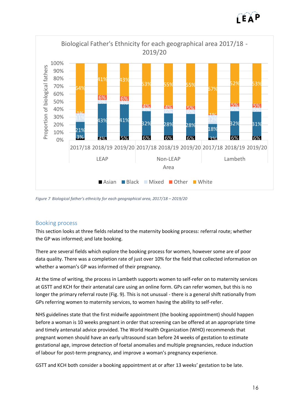



*Figure 7 Biological father's ethnicity for each geographical area, 2017/18 – 2019/20*

#### <span id="page-15-0"></span>Booking process

This section looks at three fields related to the maternity booking process: referral route; whether the GP was informed; and late booking.

There are several fields which explore the booking process for women, however some are of poor data quality. There was a completion rate of just over 10% for the field that collected information on whether a woman's GP was informed of their pregnancy.

At the time of writing, the process in Lambeth supports women to self-refer on to maternity services at GSTT and KCH for their antenatal care using an online form. GPs can refer women, but this is no longer the primary referral route (Fig. 9). This is not unusual - there is a general shift nationally from GPs referring women to maternity services, to women having the ability to self-refer.

NHS guidelines state that the first midwife appointment (the booking appointment) should happen before a woman is 10 weeks pregnant in order that screening can be offered at an appropriate time and timely antenatal advice provided. The World Health Organization (WHO) recommends that pregnant women should have an early ultrasound scan before 24 weeks of gestation to estimate gestational age, improve detection of foetal anomalies and multiple pregnancies, reduce induction of labour for post-term pregnancy, and improve a woman's pregnancy experience.

GSTT and KCH both consider a booking appointment at or after 13 weeks' gestation to be late.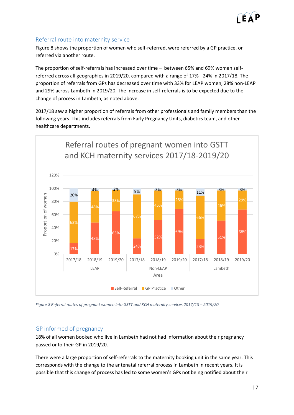

# <span id="page-16-0"></span>Referral route into maternity service

Figure 8 shows the proportion of women who self-referred, were referred by a GP practice, or referred via another route.

The proportion of self-referrals has increased over time – between 65% and 69% women selfreferred across all geographies in 2019/20, compared with a range of 17% - 24% in 2017/18. The proportion of referrals from GPs has decreased over time with 33% for LEAP women, 28% non-LEAP and 29% across Lambeth in 2019/20. The increase in self-referrals is to be expected due to the change of process in Lambeth, as noted above.

2017/18 saw a higher proportion of referrals from other professionals and family members than the following years. This includes referrals from Early Pregnancy Units, diabetics team, and other healthcare departments.



Figure 8 Referral routes of pregnant women into GSTT and KCH maternity services 2017/18 - 2019/20

#### <span id="page-16-1"></span>GP informed of pregnancy

18% of all women booked who live in Lambeth had not had information about their pregnancy passed onto their GP in 2019/20.

There were a large proportion of self-referrals to the maternity booking unit in the same year. This corresponds with the change to the antenatal referral process in Lambeth in recent years. It is possible that this change of process has led to some women's GPs not being notified about their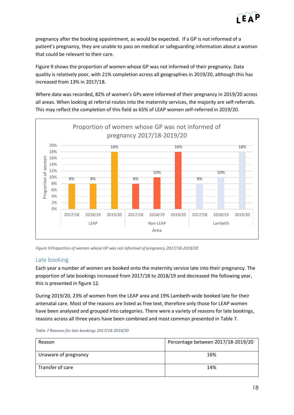

pregnancy after the booking appointment, as would be expected. If a GP is not informed of a patient's pregnancy, they are unable to pass on medical or safeguarding information about a woman that could be relevant to their care.

Figure 9 shows the proportion of women whose GP was not informed of their pregnancy. Data quality is relatively poor, with 21% completion across all geographies in 2019/20, although this has increased from 13% in 2017/18.

Where data was recorded, 82% of women's GPs were informed of their pregnancy in 2019/20 across all areas. When looking at referral routes into the maternity services, the majority are self-referrals. This may reflect the completion of this field as 65% of LEAP women self-referred in 2019/20.



*Figure 9 Proportion of women whose GP was not informed of pregnancy 2017/18-2019/20*

#### <span id="page-17-0"></span>Late booking

Each year a number of women are booked onto the maternity service late into their pregnancy. The proportion of late bookings increased from 2017/18 to 2018/19 and decreased the following year, this is presented in figure 12.

During 2019/20, 23% of women from the LEAP area and 19% Lambeth-wide booked late for their antenatal care. Most of the reasons are listed as free text, therefore only those for LEAP women have been analysed and grouped into categories. There were a variety of reasons for late bookings, reasons across all three years have been combined and most common presented in Table 7.

|  | Table 7 Reasons for late bookings 2017/18-2019/20 |
|--|---------------------------------------------------|
|--|---------------------------------------------------|

| Reason               | Percentage between 2017/18-2019/20 |
|----------------------|------------------------------------|
| Unaware of pregnancy | 16%                                |
| Transfer of care     | 14%                                |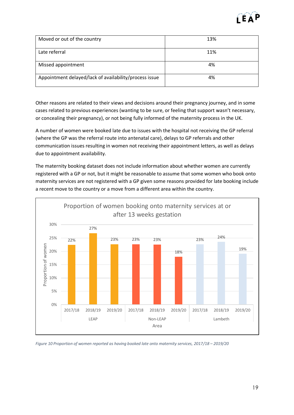

| Moved or out of the country                            | 13% |
|--------------------------------------------------------|-----|
|                                                        |     |
| Late referral                                          | 11% |
|                                                        |     |
|                                                        |     |
| Missed appointment                                     | 4%  |
|                                                        |     |
|                                                        |     |
| Appointment delayed/lack of availability/process issue | 4%  |
|                                                        |     |
|                                                        |     |

Other reasons are related to their views and decisions around their pregnancy journey, and in some cases related to previous experiences (wanting to be sure, or feeling that support wasn't necessary, or concealing their pregnancy), or not being fully informed of the maternity process in the UK.

A number of women were booked late due to issues with the hospital not receiving the GP referral (where the GP was the referral route into antenatal care), delays to GP referrals and other communication issues resulting in women not receiving their appointment letters, as well as delays due to appointment availability.

The maternity booking dataset does not include information about whether women are currently registered with a GP or not, but it might be reasonable to assume that some women who book onto maternity services are not registered with a GP given some reasons provided for late booking include a recent move to the country or a move from a different area within the country.



*Figure 10 Proportion of women reported as having booked late onto maternity services, 2017/18 - 2019/20*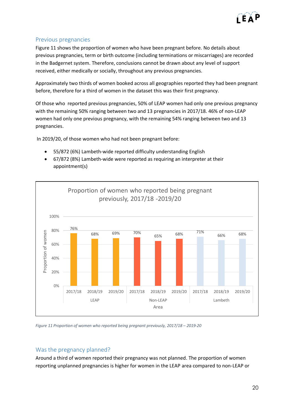

#### <span id="page-19-0"></span>Previous pregnancies

Figure 11 shows the proportion of women who have been pregnant before. No details about previous pregnancies, term or birth outcome (including terminations or miscarriages) are recorded in the Badgernet system. Therefore, conclusions cannot be drawn about any level of support received, either medically or socially, throughout any previous pregnancies.

Approximately two thirds of women booked across all geographies reported they had been pregnant before, therefore for a third of women in the dataset this was their first pregnancy.

Of those who reported previous pregnancies, 50% of LEAP women had only one previous pregnancy with the remaining 50% ranging between two and 13 pregnancies in 2017/18. 46% of non-LEAP women had only one previous pregnancy, with the remaining 54% ranging between two and 13 pregnancies.

In 2019/20, of those women who had not been pregnant before:

- 55/872 (6%) Lambeth-wide reported difficulty understanding English
- 67/872 (8%) Lambeth-wide were reported as requiring an interpreter at their appointment(s)



*Figure 11 Proportion of women who reported being pregnant previously, 2017/18 – 2019-20*

# <span id="page-19-1"></span>Was the pregnancy planned?

Around a third of women reported their pregnancy was not planned. The proportion of women reporting unplanned pregnancies is higher for women in the LEAP area compared to non-LEAP or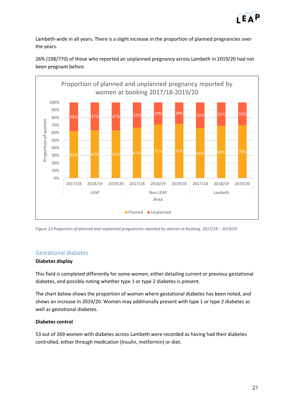

Lambeth-wide in all years. There is a slight increase in the proportion of planned pregnancies over the years.



26% (198/770) of those who reported an unplanned pregnancy across Lambeth in 2019/20 had not been pregnant before.

#### <span id="page-20-0"></span>Gestational diabetes

#### **Diabetes display**

This field is completed differently for some women, either detailing current or previous gestational diabetes, and possibly noting whether type 1 or type 2 diabetes is present.

The chart below shows the proportion of women where gestational diabetes has been noted, and shows an increase in 2019/20. Women may additionally present with type 1 or type 2 diabetes as well as gestational diabetes.

#### **Diabetes control**

53 out of 269 women with diabetes across Lambeth were recorded as having had their diabetes controlled, either through medication (Insulin, metformin) or diet.

*Figure 12 Proportion of planned and unplanned pregnancies reported by women at booking, 2017/18 – 2019/20*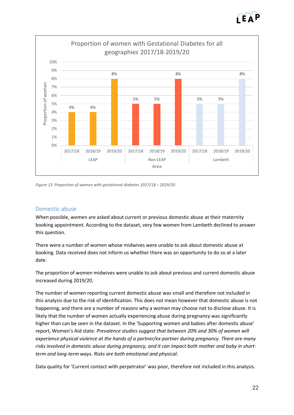



*Figure 13 Proportion of women with gestational diabetes 2017/18 – 2019/20*

#### <span id="page-21-0"></span>Domestic abuse

When possible, women are asked about current or previous domestic abuse at their maternity booking appointment. According to the dataset, very few women from Lambeth declined to answer this question.

There were a number of women whose midwives were unable to ask about domestic abuse at booking. Data received does not inform us whether there was an opportunity to do so at a later date.

The proportion of women midwives were unable to ask about previous and current domestic abuse increased during 2019/20.

The number of women reporting current domestic abuse was small and therefore not included in this analysis due to the risk of identification. This does not mean however that domestic abuse is not happening, and there are a number of reasons why a woman may choose not to disclose abuse. It is likely that the number of women actually experiencing abuse during pregnancy was significantly higher than can be seen in the dataset. In the 'Supporting women and babies after domestic abuse' report, Women's Aid state: *Prevalence studies suggest that between 20% and 30% of women will experience physical violence at the hands of a partner/ex-partner during pregnancy. There are many risks involved in domestic abuse during pregnancy, and it can impact both mother and baby in shortterm and long-term ways. Risks are both emotional and physical.*

Data quality for 'Current contact with perpetrator' was poor, therefore not included in this analysis.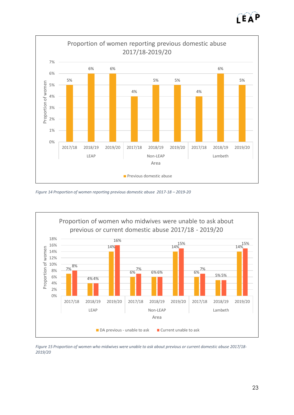



*Figure 14 Proportion of women reporting previous domestic abuse 2017-18 – 2019-20*



*Figure 15 Proportion of women who midwives were unable to ask about previous or current domestic abuse 2017/18- 2019/20*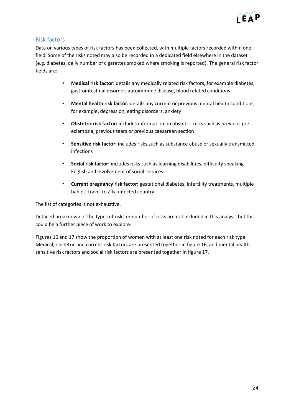

## <span id="page-23-0"></span>Risk factors

Data on various types of risk factors has been collected, with multiple factors recorded within one field. Some of the risks noted may also be recorded in a dedicated field elsewhere in the dataset (e.g. diabetes, daily number of cigarettes smoked where smoking is reported). The general risk factor fields are:

- **Medical risk factor:** details any medically related risk factors, for example diabetes, gastrointestinal disorder, autoimmune disease, blood related conditions
- **Mental health risk factor:** details any current or previous mental health conditions, for example, depression, eating disorders, anxiety
- **Obstetric risk factor:** includes information on obstetric risks such as previous preeclampsia, previous tears or previous caesarean section
- **Sensitive risk factor:** includes risks such as substance abuse or sexually transmitted infections
- **Social risk factor:** includes risks such as learning disabilities, difficulty speaking English and involvement of social services
- **Current pregnancy risk factor:** gestational diabetes, infertility treatments, multiple babies, travel to Zika infected country

The list of categories is not exhaustive.

Detailed breakdown of the types of risks or number of risks are not included in this analysis but this could be a further piece of work to explore.

Figures 16 and 17 show the proportion of women with at least one risk noted for each risk type. Medical, obstetric and current risk factors are presented together in figure 16, and mental health, sensitive risk factors and social risk factors are presented together in figure 17.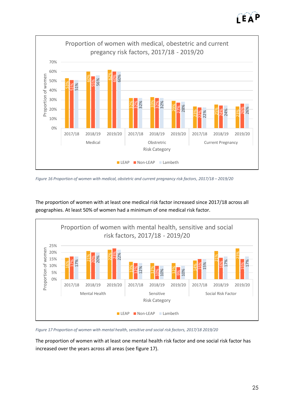ÍEÀ



*Figure 16 Proportion of women with medical, obstetric and current pregnancy risk factors, 2017/18 - 2019/20* 



The proportion of women with at least one medical risk factor increased since 2017/18 across all geographies. At least 50% of women had a minimum of one medical risk factor.

*Figure 17 Proportion of women with mental health, sensitive and social risk factors, 2017/18 2019/20*

The proportion of women with at least one mental health risk factor and one social risk factor has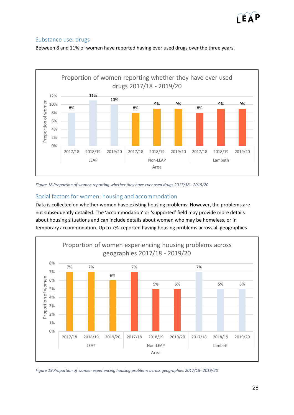# <span id="page-25-0"></span>Substance use: drugs

Between 8 and 11% of women have reported having ever used drugs over the three years.



*Figure 18 Proportion of women reporting whether they have ever used drugs 2017/18 - 2019/20*

# <span id="page-25-1"></span>Social factors for women: housing and accommodation

Data is collected on whether women have existing housing problems. However, the problems are not subsequently detailed. The 'accommodation' or 'supported' field may provide more details about housing situations and can include details about women who may be homeless, or in temporary accommodation. Up to 7% reported having housing problems across all geographies.



*Figure 19 Proportion of women experiencing housing problems across geographies 2017/18- 2019/20*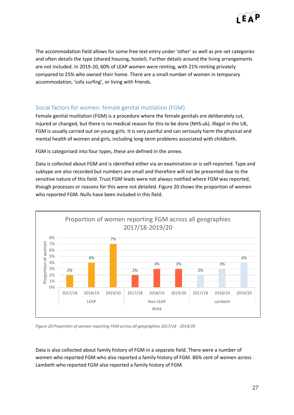

The accommodation field allows for some free text entry under 'other' as well as pre-set categories and often details the type (shared housing, hostel). Further details around the living arrangements are not included. In 2019-20, 60% of LEAP women were renting, with 21% renting privately compared to 25% who owned their home. There are a small number of women in temporary accommodation, 'sofa surfing', or living with friends.

# <span id="page-26-0"></span>Social factors for women: female genital mutilation (FGM)

Female genital mutilation (FGM) is a procedure where the female genitals are deliberately cut, injured or changed, but there is no medical reason for this to be done (NHS.uk). Illegal in the UK, FGM is usually carried out on young girls. It is very painful and can seriously harm the physical and mental health of women and girls, including long-term problems associated with childbirth.

FGM is categorised into four types, these are defined in the annex.

Data is collected about FGM and is identified either via an examination or is self-reported. Type and subtype are also recorded but numbers are small and therefore will not be presented due to the sensitive nature of this field. Trust FGM leads were not always notified where FGM was reported, though processes or reasons for this were not detailed. Figure 20 shows the proportion of women who reported FGM. Nulls have been included in this field.



*Figure 20 Proportion of women reporting FGM across all geographies 2017/18 - 2019/20*

Data is also collected about family history of FGM in a separate field. There were a number of women who reported FGM who also reported a family history of FGM. 86% cent of women across Lambeth who reported FGM also reported a family history of FGM.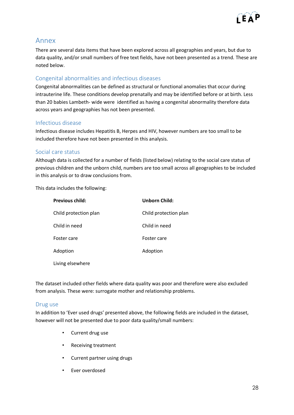

# <span id="page-27-0"></span>Annex

There are several data items that have been explored across all geographies and years, but due to data quality, and/or small numbers of free text fields, have not been presented as a trend. These are noted below.

# <span id="page-27-1"></span>Congenital abnormalities and infectious diseases

Congenital abnormalities can be defined as structural or functional anomalies that occur during intrauterine life. These conditions develop prenatally and may be identified before or at birth. Less than 20 babies Lambeth- wide were identified as having a congenital abnormality therefore data across years and geographies has not been presented.

#### <span id="page-27-2"></span>Infectious disease

Infectious disease includes Hepatitis B, Herpes and HIV, however numbers are too small to be included therefore have not been presented in this analysis.

#### <span id="page-27-3"></span>Social care status

Although data is collected for a number of fields (listed below) relating to the social care status of previous children and the unborn child, numbers are too small across all geographies to be included in this analysis or to draw conclusions from.

This data includes the following:

| <b>Previous child:</b> | <b>Unborn Child:</b>  |
|------------------------|-----------------------|
| Child protection plan  | Child protection plan |
| Child in need          | Child in need         |
| Foster care            | Foster care           |
| Adoption               | Adoption              |
| Living elsewhere       |                       |

The dataset included other fields where data quality was poor and therefore were also excluded from analysis. These were: surrogate mother and relationship problems.

#### <span id="page-27-4"></span>Drug use

In addition to 'Ever used drugs' presented above, the following fields are included in the dataset, however will not be presented due to poor data quality/small numbers:

- Current drug use
- Receiving treatment
- Current partner using drugs
- Ever overdosed